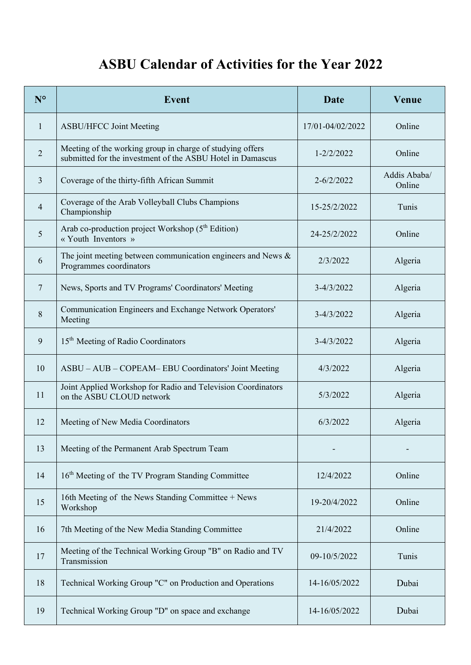## **ASBU Calendar of Activities for the Year 2022**

| $N^{\circ}$    | <b>Event</b>                                                                                                            | Date             | <b>Venue</b>           |
|----------------|-------------------------------------------------------------------------------------------------------------------------|------------------|------------------------|
| 1              | <b>ASBU/HFCC Joint Meeting</b>                                                                                          | 17/01-04/02/2022 | Online                 |
| $\overline{2}$ | Meeting of the working group in charge of studying offers<br>submitted for the investment of the ASBU Hotel in Damascus | 1-2/2/2022       | Online                 |
| 3              | Coverage of the thirty-fifth African Summit                                                                             | $2 - 6/2/2022$   | Addis Ababa/<br>Online |
| $\overline{4}$ | Coverage of the Arab Volleyball Clubs Champions<br>Championship                                                         | 15-25/2/2022     | Tunis                  |
| 5              | Arab co-production project Workshop (5 <sup>th</sup> Edition)<br>« Youth Inventors »                                    | 24-25/2/2022     | Online                 |
| 6              | The joint meeting between communication engineers and News $\&$<br>Programmes coordinators                              | 2/3/2022         | Algeria                |
| $\overline{7}$ | News, Sports and TV Programs' Coordinators' Meeting                                                                     | $3 - 4/3/2022$   | Algeria                |
| 8              | Communication Engineers and Exchange Network Operators'<br>Meeting                                                      | $3 - 4/3/2022$   | Algeria                |
| 9              | 15 <sup>th</sup> Meeting of Radio Coordinators                                                                          | $3 - 4/3/2022$   | Algeria                |
| 10             | ASBU - AUB - COPEAM - EBU Coordinators' Joint Meeting                                                                   | 4/3/2022         | Algeria                |
| 11             | Joint Applied Workshop for Radio and Television Coordinators<br>on the ASBU CLOUD network                               | 5/3/2022         | Algeria                |
| 12             | Meeting of New Media Coordinators                                                                                       | 6/3/2022         | Algeria                |
| 13             | Meeting of the Permanent Arab Spectrum Team                                                                             |                  |                        |
| 14             | 16 <sup>th</sup> Meeting of the TV Program Standing Committee                                                           | 12/4/2022        | Online                 |
| 15             | 16th Meeting of the News Standing Committee + News<br>Workshop                                                          | 19-20/4/2022     | Online                 |
| 16             | 7th Meeting of the New Media Standing Committee                                                                         | 21/4/2022        | Online                 |
| 17             | Meeting of the Technical Working Group "B" on Radio and TV<br>Transmission                                              | 09-10/5/2022     | Tunis                  |
| 18             | Technical Working Group "C" on Production and Operations                                                                | 14-16/05/2022    | Dubai                  |
| 19             | Technical Working Group "D" on space and exchange                                                                       | 14-16/05/2022    | Dubai                  |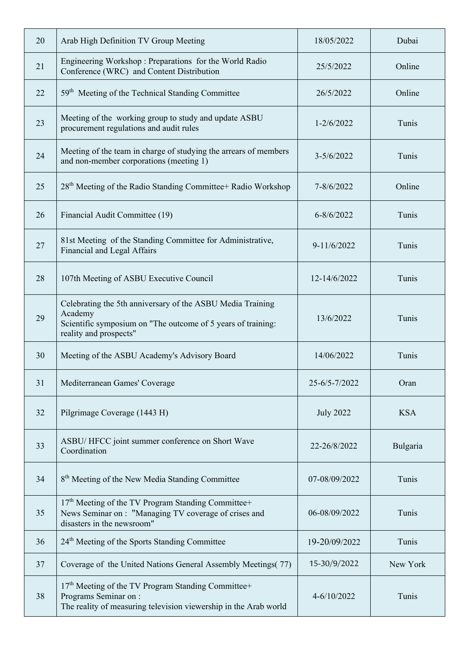| 20 | Arab High Definition TV Group Meeting                                                                                                                           | 18/05/2022       | Dubai      |
|----|-----------------------------------------------------------------------------------------------------------------------------------------------------------------|------------------|------------|
| 21 | Engineering Workshop: Preparations for the World Radio<br>Conference (WRC) and Content Distribution                                                             | 25/5/2022        | Online     |
| 22 | 59 <sup>th</sup> Meeting of the Technical Standing Committee                                                                                                    | 26/5/2022        | Online     |
| 23 | Meeting of the working group to study and update ASBU<br>procurement regulations and audit rules                                                                | $1 - 2/6/2022$   | Tunis      |
| 24 | Meeting of the team in charge of studying the arrears of members<br>and non-member corporations (meeting 1)                                                     | $3 - 5/6/2022$   | Tunis      |
| 25 | 28 <sup>th</sup> Meeting of the Radio Standing Committee+ Radio Workshop                                                                                        | 7-8/6/2022       | Online     |
| 26 | Financial Audit Committee (19)                                                                                                                                  | $6 - 8/6/2022$   | Tunis      |
| 27 | 81st Meeting of the Standing Committee for Administrative,<br>Financial and Legal Affairs                                                                       | $9 - 11/6/2022$  | Tunis      |
| 28 | 107th Meeting of ASBU Executive Council                                                                                                                         | 12-14/6/2022     | Tunis      |
| 29 | Celebrating the 5th anniversary of the ASBU Media Training<br>Academy<br>Scientific symposium on "The outcome of 5 years of training:<br>reality and prospects" | 13/6/2022        | Tunis      |
| 30 | Meeting of the ASBU Academy's Advisory Board                                                                                                                    | 14/06/2022       | Tunis      |
| 31 | Mediterranean Games' Coverage                                                                                                                                   | 25-6/5-7/2022    | Oran       |
| 32 | Pilgrimage Coverage (1443 H)                                                                                                                                    | <b>July 2022</b> | <b>KSA</b> |
| 33 | ASBU/HFCC joint summer conference on Short Wave<br>Coordination                                                                                                 | 22-26/8/2022     | Bulgaria   |
| 34 | 8 <sup>th</sup> Meeting of the New Media Standing Committee                                                                                                     | 07-08/09/2022    | Tunis      |
| 35 | 17 <sup>th</sup> Meeting of the TV Program Standing Committee+<br>News Seminar on : "Managing TV coverage of crises and<br>disasters in the newsroom"           | 06-08/09/2022    | Tunis      |
| 36 | 24 <sup>th</sup> Meeting of the Sports Standing Committee                                                                                                       | 19-20/09/2022    | Tunis      |
| 37 | Coverage of the United Nations General Assembly Meetings(77)                                                                                                    | 15-30/9/2022     | New York   |
| 38 | 17 <sup>th</sup> Meeting of the TV Program Standing Committee+<br>Programs Seminar on :<br>The reality of measuring television viewership in the Arab world     | 4-6/10/2022      | Tunis      |